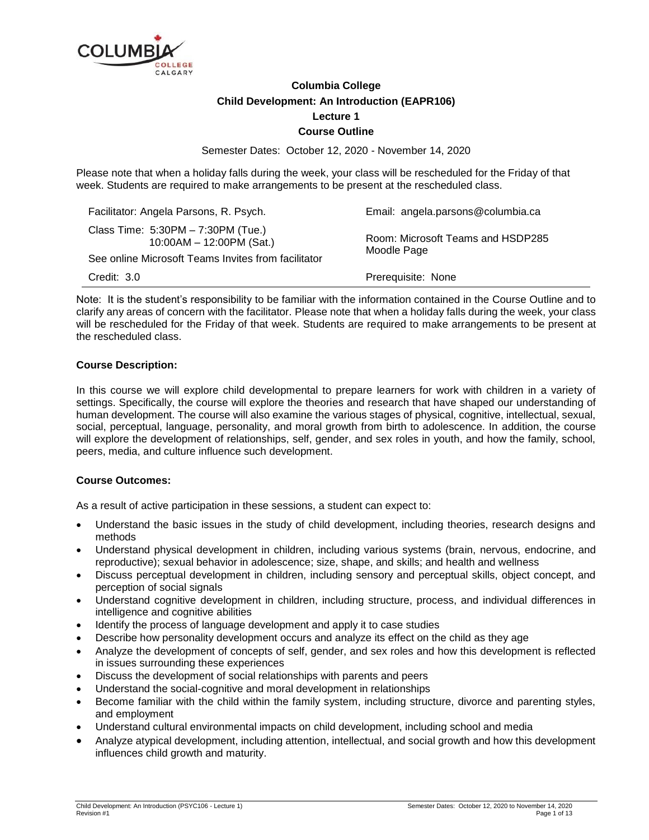

# **Columbia College Child Development: An Introduction (EAPR106) Lecture 1 Course Outline**

Semester Dates: October 12, 2020 - November 14, 2020

Please note that when a holiday falls during the week, your class will be rescheduled for the Friday of that week. Students are required to make arrangements to be present at the rescheduled class.

| Facilitator: Angela Parsons, R. Psych.                                                                                  | Email: angela.parsons@columbia.ca                |
|-------------------------------------------------------------------------------------------------------------------------|--------------------------------------------------|
| Class Time: 5:30PM - 7:30PM (Tue.)<br>$10:00AM - 12:00PM$ (Sat.)<br>See online Microsoft Teams Invites from facilitator | Room: Microsoft Teams and HSDP285<br>Moodle Page |
| Credit: 3.0                                                                                                             | Prerequisite: None                               |

Note: It is the student's responsibility to be familiar with the information contained in the Course Outline and to clarify any areas of concern with the facilitator. Please note that when a holiday falls during the week, your class will be rescheduled for the Friday of that week. Students are required to make arrangements to be present at the rescheduled class.

### **Course Description:**

In this course we will explore child developmental to prepare learners for work with children in a variety of settings. Specifically, the course will explore the theories and research that have shaped our understanding of human development. The course will also examine the various stages of physical, cognitive, intellectual, sexual, social, perceptual, language, personality, and moral growth from birth to adolescence. In addition, the course will explore the development of relationships, self, gender, and sex roles in youth, and how the family, school, peers, media, and culture influence such development.

### **Course Outcomes:**

As a result of active participation in these sessions, a student can expect to:

- Understand the basic issues in the study of child development, including theories, research designs and methods
- Understand physical development in children, including various systems (brain, nervous, endocrine, and reproductive); sexual behavior in adolescence; size, shape, and skills; and health and wellness
- Discuss perceptual development in children, including sensory and perceptual skills, object concept, and perception of social signals
- Understand cognitive development in children, including structure, process, and individual differences in intelligence and cognitive abilities
- Identify the process of language development and apply it to case studies
- Describe how personality development occurs and analyze its effect on the child as they age
- Analyze the development of concepts of self, gender, and sex roles and how this development is reflected in issues surrounding these experiences
- Discuss the development of social relationships with parents and peers
- Understand the social-cognitive and moral development in relationships
- Become familiar with the child within the family system, including structure, divorce and parenting styles, and employment
- Understand cultural environmental impacts on child development, including school and media
- Analyze atypical development, including attention, intellectual, and social growth and how this development influences child growth and maturity.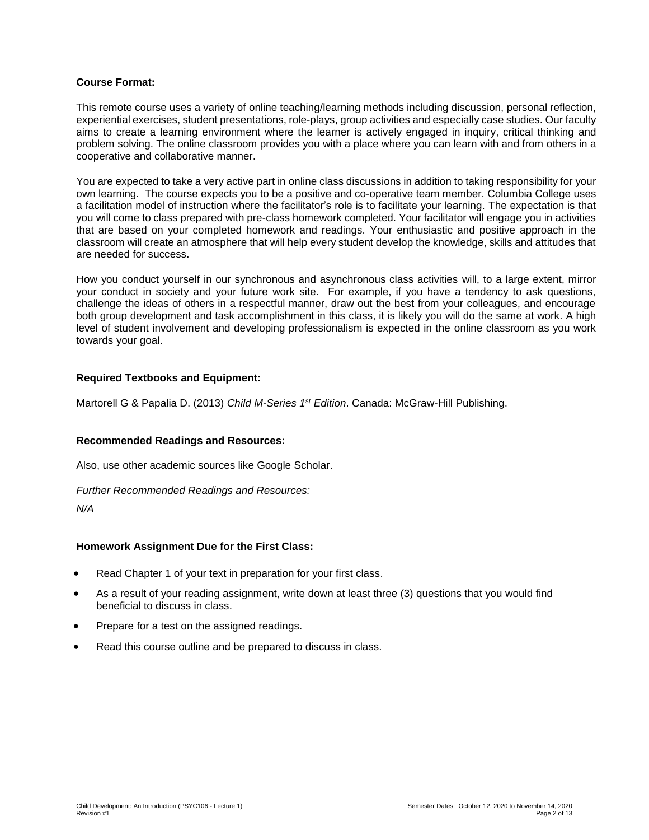### **Course Format:**

This remote course uses a variety of online teaching/learning methods including discussion, personal reflection, experiential exercises, student presentations, role-plays, group activities and especially case studies. Our faculty aims to create a learning environment where the learner is actively engaged in inquiry, critical thinking and problem solving. The online classroom provides you with a place where you can learn with and from others in a cooperative and collaborative manner.

You are expected to take a very active part in online class discussions in addition to taking responsibility for your own learning. The course expects you to be a positive and co-operative team member. Columbia College uses a facilitation model of instruction where the facilitator's role is to facilitate your learning. The expectation is that you will come to class prepared with pre-class homework completed. Your facilitator will engage you in activities that are based on your completed homework and readings. Your enthusiastic and positive approach in the classroom will create an atmosphere that will help every student develop the knowledge, skills and attitudes that are needed for success.

How you conduct yourself in our synchronous and asynchronous class activities will, to a large extent, mirror your conduct in society and your future work site. For example, if you have a tendency to ask questions, challenge the ideas of others in a respectful manner, draw out the best from your colleagues, and encourage both group development and task accomplishment in this class, it is likely you will do the same at work. A high level of student involvement and developing professionalism is expected in the online classroom as you work towards your goal.

### **Required Textbooks and Equipment:**

Martorell G & Papalia D. (2013) *Child M-Series 1st Edition*. Canada: McGraw-Hill Publishing.

### **Recommended Readings and Resources:**

Also, use other academic sources like Google Scholar.

*Further Recommended Readings and Resources:*

*N/A*

### **Homework Assignment Due for the First Class:**

- Read Chapter 1 of your text in preparation for your first class.
- As a result of your reading assignment, write down at least three (3) questions that you would find beneficial to discuss in class.
- Prepare for a test on the assigned readings.
- Read this course outline and be prepared to discuss in class.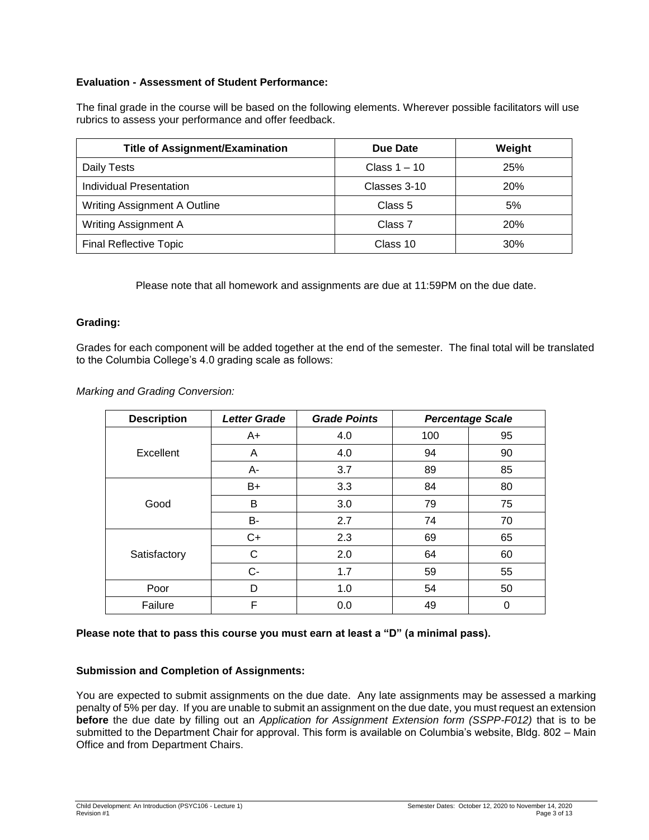## **Evaluation - Assessment of Student Performance:**

The final grade in the course will be based on the following elements. Wherever possible facilitators will use rubrics to assess your performance and offer feedback.

| <b>Title of Assignment/Examination</b> | Due Date           | Weight |
|----------------------------------------|--------------------|--------|
| Daily Tests                            | Class $1 - 10$     | 25%    |
| Individual Presentation                | Classes 3-10       | 20%    |
| <b>Writing Assignment A Outline</b>    | Class 5            | 5%     |
| <b>Writing Assignment A</b>            | Class <sub>7</sub> | 20%    |
| <b>Final Reflective Topic</b>          | Class 10           | 30%    |

Please note that all homework and assignments are due at 11:59PM on the due date.

### **Grading:**

Grades for each component will be added together at the end of the semester. The final total will be translated to the Columbia College's 4.0 grading scale as follows:

*Marking and Grading Conversion:*

| <b>Description</b> | <b>Letter Grade</b> | <b>Grade Points</b> |     | <b>Percentage Scale</b> |
|--------------------|---------------------|---------------------|-----|-------------------------|
|                    | $A+$                | 4.0                 | 100 | 95                      |
| Excellent          | A                   | 4.0                 | 94  | 90                      |
|                    | A-                  | 3.7                 | 89  | 85                      |
|                    | $B+$                | 3.3                 | 84  | 80                      |
| Good               | B                   | 3.0                 | 79  | 75                      |
|                    | B-                  | 2.7                 | 74  | 70                      |
| Satisfactory       | $C+$                | 2.3                 | 69  | 65                      |
|                    | C                   | 2.0                 | 64  | 60                      |
|                    | $C-$                | 1.7                 | 59  | 55                      |
| Poor               | D                   | 1.0                 | 54  | 50                      |
| Failure            | F                   | 0.0                 | 49  | 0                       |

### **Please note that to pass this course you must earn at least a "D" (a minimal pass).**

### **Submission and Completion of Assignments:**

You are expected to submit assignments on the due date. Any late assignments may be assessed a marking penalty of 5% per day. If you are unable to submit an assignment on the due date, you must request an extension **before** the due date by filling out an *Application for Assignment Extension form (SSPP-F012)* that is to be submitted to the Department Chair for approval. This form is available on Columbia's website, Bldg. 802 – Main Office and from Department Chairs.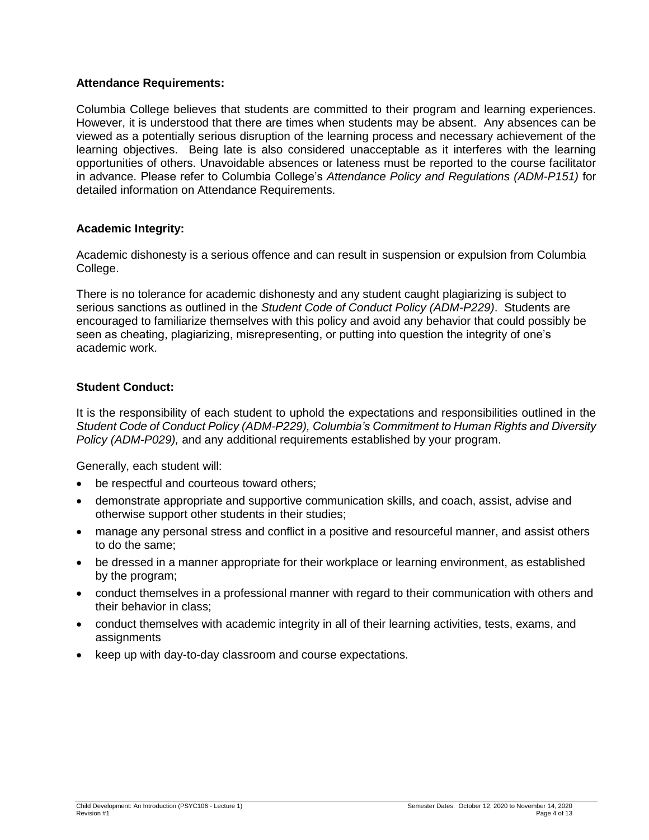## **Attendance Requirements:**

Columbia College believes that students are committed to their program and learning experiences. However, it is understood that there are times when students may be absent. Any absences can be viewed as a potentially serious disruption of the learning process and necessary achievement of the learning objectives. Being late is also considered unacceptable as it interferes with the learning opportunities of others. Unavoidable absences or lateness must be reported to the course facilitator in advance. Please refer to Columbia College's *Attendance Policy and Regulations (ADM-P151)* for detailed information on Attendance Requirements.

# **Academic Integrity:**

Academic dishonesty is a serious offence and can result in suspension or expulsion from Columbia College.

There is no tolerance for academic dishonesty and any student caught plagiarizing is subject to serious sanctions as outlined in the *Student Code of Conduct Policy (ADM-P229)*. Students are encouraged to familiarize themselves with this policy and avoid any behavior that could possibly be seen as cheating, plagiarizing, misrepresenting, or putting into question the integrity of one's academic work.

# **Student Conduct:**

It is the responsibility of each student to uphold the expectations and responsibilities outlined in the *Student Code of Conduct Policy (ADM-P229), Columbia's Commitment to Human Rights and Diversity Policy (ADM-P029),* and any additional requirements established by your program.

Generally, each student will:

- be respectful and courteous toward others;
- demonstrate appropriate and supportive communication skills, and coach, assist, advise and otherwise support other students in their studies;
- manage any personal stress and conflict in a positive and resourceful manner, and assist others to do the same;
- be dressed in a manner appropriate for their workplace or learning environment, as established by the program;
- conduct themselves in a professional manner with regard to their communication with others and their behavior in class;
- conduct themselves with academic integrity in all of their learning activities, tests, exams, and assignments
- keep up with day-to-day classroom and course expectations.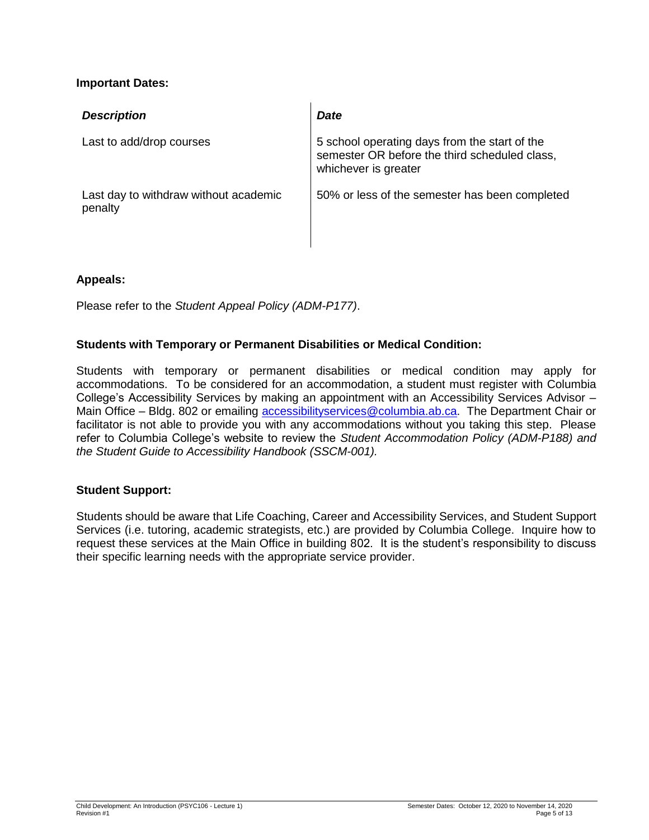## **Important Dates:**

| <b>Description</b>                               | <b>Date</b>                                                                                                            |
|--------------------------------------------------|------------------------------------------------------------------------------------------------------------------------|
| Last to add/drop courses                         | 5 school operating days from the start of the<br>semester OR before the third scheduled class,<br>whichever is greater |
| Last day to withdraw without academic<br>penalty | 50% or less of the semester has been completed                                                                         |

# **Appeals:**

Please refer to the *Student Appeal Policy (ADM-P177)*.

# **Students with Temporary or Permanent Disabilities or Medical Condition:**

Students with temporary or permanent disabilities or medical condition may apply for accommodations. To be considered for an accommodation, a student must register with Columbia College's Accessibility Services by making an appointment with an Accessibility Services Advisor – Main Office – Bldg. 802 or emailing [accessibilityservices@columbia.ab.ca.](mailto:accessibilityservices@columbia.ab.ca) The Department Chair or facilitator is not able to provide you with any accommodations without you taking this step. Please refer to Columbia College's website to review the *Student Accommodation Policy (ADM-P188) and the Student Guide to Accessibility Handbook (SSCM-001).*

## **Student Support:**

Students should be aware that Life Coaching, Career and Accessibility Services, and Student Support Services (i.e. tutoring, academic strategists, etc.) are provided by Columbia College. Inquire how to request these services at the Main Office in building 802. It is the student's responsibility to discuss their specific learning needs with the appropriate service provider.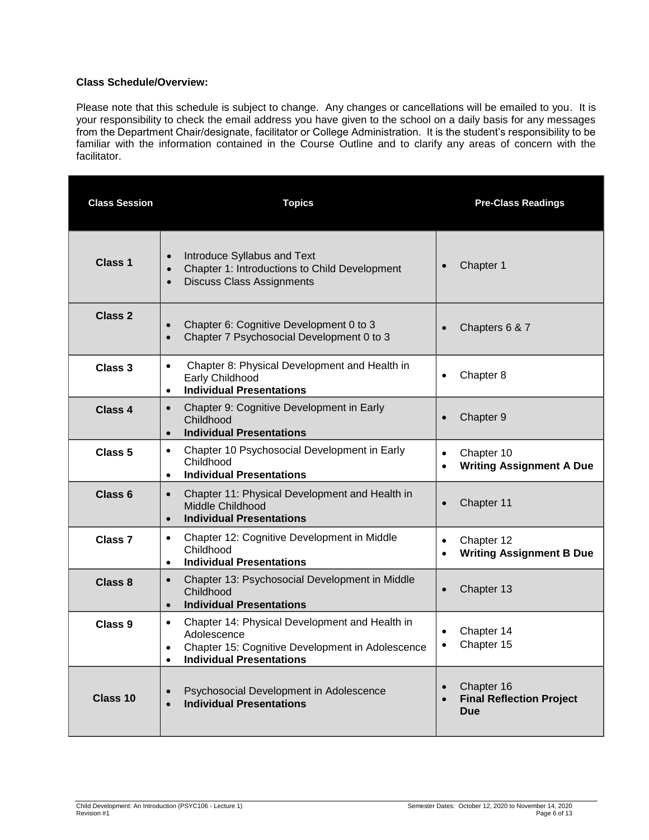### **Class Schedule/Overview:**

Please note that this schedule is subject to change. Any changes or cancellations will be emailed to you. It is your responsibility to check the email address you have given to the school on a daily basis for any messages from the Department Chair/designate, facilitator or College Administration. It is the student's responsibility to be familiar with the information contained in the Course Outline and to clarify any areas of concern with the facilitator.

| <b>Class Session</b> | <b>Topics</b>                                                                                                                                                                               | <b>Pre-Class Readings</b>                                                |
|----------------------|---------------------------------------------------------------------------------------------------------------------------------------------------------------------------------------------|--------------------------------------------------------------------------|
| <b>Class 1</b>       | Introduce Syllabus and Text<br>$\bullet$<br>Chapter 1: Introductions to Child Development<br>$\bullet$<br><b>Discuss Class Assignments</b><br>$\bullet$                                     | Chapter 1<br>$\bullet$                                                   |
| <b>Class 2</b>       | Chapter 6: Cognitive Development 0 to 3<br>Chapter 7 Psychosocial Development 0 to 3<br>$\bullet$                                                                                           | Chapters 6 & 7<br>$\bullet$                                              |
| Class 3              | Chapter 8: Physical Development and Health in<br>$\bullet$<br>Early Childhood<br><b>Individual Presentations</b><br>$\bullet$                                                               | Chapter 8<br>$\bullet$                                                   |
| <b>Class 4</b>       | Chapter 9: Cognitive Development in Early<br>$\bullet$<br>Childhood<br><b>Individual Presentations</b><br>$\bullet$                                                                         | Chapter 9<br>$\bullet$                                                   |
| Class <sub>5</sub>   | Chapter 10 Psychosocial Development in Early<br>$\bullet$<br>Childhood<br><b>Individual Presentations</b><br>$\bullet$                                                                      | Chapter 10<br>$\bullet$<br><b>Writing Assignment A Due</b>               |
| Class <sub>6</sub>   | Chapter 11: Physical Development and Health in<br>$\bullet$<br>Middle Childhood<br><b>Individual Presentations</b><br>$\bullet$                                                             | Chapter 11<br>$\bullet$                                                  |
| Class <sub>7</sub>   | Chapter 12: Cognitive Development in Middle<br>$\bullet$<br>Childhood<br><b>Individual Presentations</b><br>$\bullet$                                                                       | Chapter 12<br>$\bullet$<br><b>Writing Assignment B Due</b><br>$\bullet$  |
| Class 8              | Chapter 13: Psychosocial Development in Middle<br>$\bullet$<br>Childhood<br><b>Individual Presentations</b><br>$\bullet$                                                                    | Chapter 13<br>$\bullet$                                                  |
| Class <sub>9</sub>   | Chapter 14: Physical Development and Health in<br>$\bullet$<br>Adolescence<br>Chapter 15: Cognitive Development in Adolescence<br>$\bullet$<br><b>Individual Presentations</b><br>$\bullet$ | Chapter 14<br>$\bullet$<br>Chapter 15<br>$\bullet$                       |
| Class 10             | Psychosocial Development in Adolescence<br><b>Individual Presentations</b>                                                                                                                  | Chapter 16<br>$\bullet$<br><b>Final Reflection Project</b><br><b>Due</b> |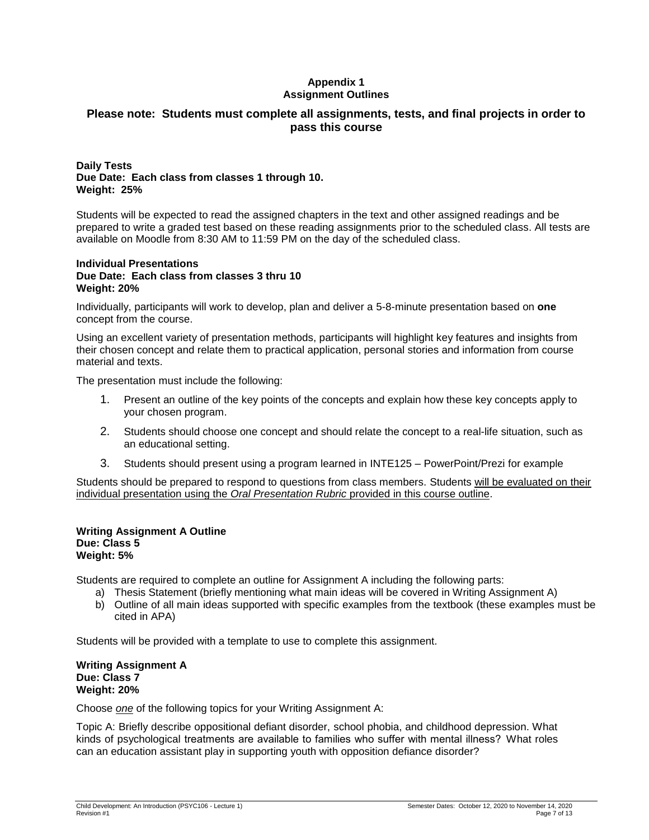### **Appendix 1 Assignment Outlines**

## **Please note: Students must complete all assignments, tests, and final projects in order to pass this course**

### **Daily Tests Due Date: Each class from classes 1 through 10. Weight: 25%**

Students will be expected to read the assigned chapters in the text and other assigned readings and be prepared to write a graded test based on these reading assignments prior to the scheduled class. All tests are available on Moodle from 8:30 AM to 11:59 PM on the day of the scheduled class.

### **Individual Presentations Due Date: Each class from classes 3 thru 10 Weight: 20%**

Individually, participants will work to develop, plan and deliver a 5-8-minute presentation based on **one** concept from the course.

Using an excellent variety of presentation methods, participants will highlight key features and insights from their chosen concept and relate them to practical application, personal stories and information from course material and texts.

The presentation must include the following:

- 1. Present an outline of the key points of the concepts and explain how these key concepts apply to your chosen program.
- 2. Students should choose one concept and should relate the concept to a real-life situation, such as an educational setting.
- 3. Students should present using a program learned in INTE125 PowerPoint/Prezi for example

Students should be prepared to respond to questions from class members. Students will be evaluated on their individual presentation using the *Oral Presentation Rubric* provided in this course outline.

#### **Writing Assignment A Outline Due: Class 5 Weight: 5%**

Students are required to complete an outline for Assignment A including the following parts:

- a) Thesis Statement (briefly mentioning what main ideas will be covered in Writing Assignment A)
- b) Outline of all main ideas supported with specific examples from the textbook (these examples must be cited in APA)

Students will be provided with a template to use to complete this assignment.

#### **Writing Assignment A Due: Class 7 Weight: 20%**

Choose *one* of the following topics for your Writing Assignment A:

Topic A: Briefly describe oppositional defiant disorder, school phobia, and childhood depression. What kinds of psychological treatments are available to families who suffer with mental illness?  What roles can an education assistant play in supporting youth with opposition defiance disorder?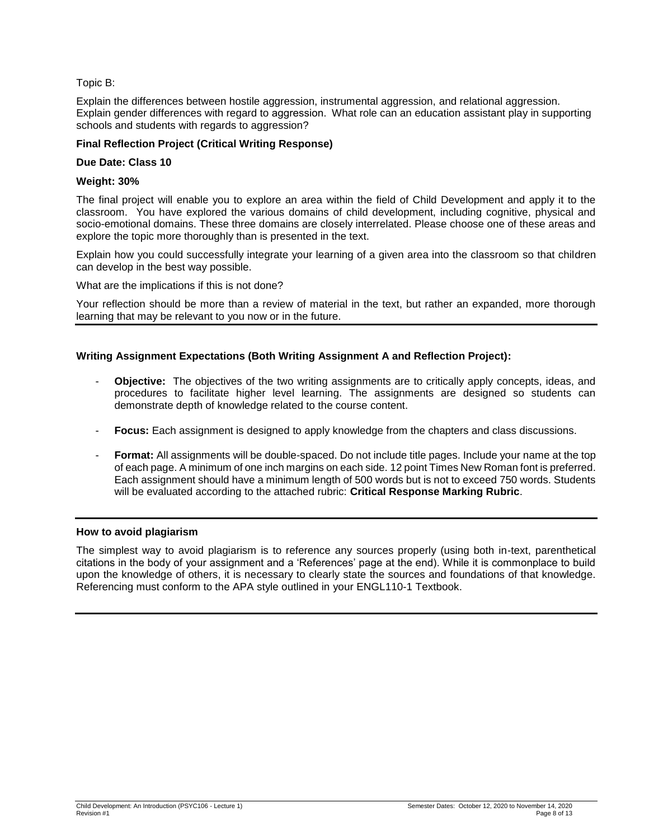### Topic B:

Explain the differences between hostile aggression, instrumental aggression, and relational aggression. Explain gender differences with regard to aggression.  What role can an education assistant play in supporting schools and students with regards to aggression?

## **Final Reflection Project (Critical Writing Response)**

### **Due Date: Class 10**

### **Weight: 30%**

The final project will enable you to explore an area within the field of Child Development and apply it to the classroom. You have explored the various domains of child development, including cognitive, physical and socio-emotional domains. These three domains are closely interrelated. Please choose one of these areas and explore the topic more thoroughly than is presented in the text.

Explain how you could successfully integrate your learning of a given area into the classroom so that children can develop in the best way possible.

What are the implications if this is not done?

Your reflection should be more than a review of material in the text, but rather an expanded, more thorough learning that may be relevant to you now or in the future.

### **Writing Assignment Expectations (Both Writing Assignment A and Reflection Project):**

- **Objective:** The objectives of the two writing assignments are to critically apply concepts, ideas, and procedures to facilitate higher level learning. The assignments are designed so students can demonstrate depth of knowledge related to the course content.
- **Focus:** Each assignment is designed to apply knowledge from the chapters and class discussions.
- Format: All assignments will be double-spaced. Do not include title pages. Include your name at the top of each page. A minimum of one inch margins on each side. 12 point Times New Roman font is preferred. Each assignment should have a minimum length of 500 words but is not to exceed 750 words. Students will be evaluated according to the attached rubric: **Critical Response Marking Rubric**.

### **How to avoid plagiarism**

The simplest way to avoid plagiarism is to reference any sources properly (using both in-text, parenthetical citations in the body of your assignment and a 'References' page at the end). While it is commonplace to build upon the knowledge of others, it is necessary to clearly state the sources and foundations of that knowledge. Referencing must conform to the APA style outlined in your ENGL110-1 Textbook.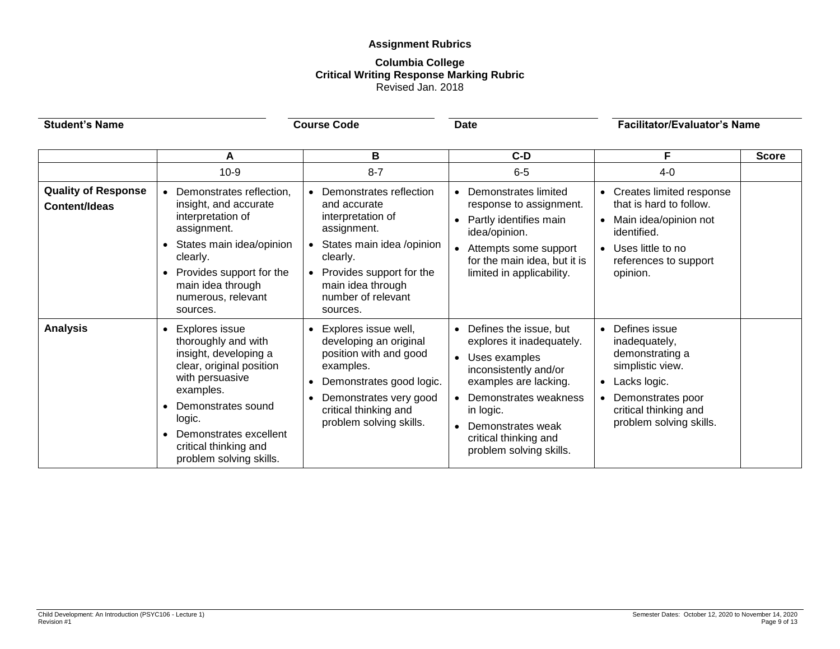# **Assignment Rubrics**

#### **Columbia College Critical Writing Response Marking Rubric** Revised Jan. 2018

| <b>Student's Name</b>                              |                                                                                                                                                                                                                                                       | <b>Course Code</b>                                                                                                                                                                                      | <b>Date</b>                                                                                                                                                                                                                                   | <b>Facilitator/Evaluator's Name</b>                                                                                                                                             |              |
|----------------------------------------------------|-------------------------------------------------------------------------------------------------------------------------------------------------------------------------------------------------------------------------------------------------------|---------------------------------------------------------------------------------------------------------------------------------------------------------------------------------------------------------|-----------------------------------------------------------------------------------------------------------------------------------------------------------------------------------------------------------------------------------------------|---------------------------------------------------------------------------------------------------------------------------------------------------------------------------------|--------------|
|                                                    | A<br>$10-9$                                                                                                                                                                                                                                           | В<br>$8 - 7$                                                                                                                                                                                            | $C-D$<br>$6-5$                                                                                                                                                                                                                                | F<br>$4 - 0$                                                                                                                                                                    | <b>Score</b> |
| <b>Quality of Response</b><br><b>Content/Ideas</b> | Demonstrates reflection,<br>insight, and accurate<br>interpretation of<br>assignment.<br>States main idea/opinion<br>$\bullet$<br>clearly.<br>Provides support for the<br>$\bullet$<br>main idea through<br>numerous, relevant<br>sources.            | Demonstrates reflection<br>and accurate<br>interpretation of<br>assignment.<br>States main idea /opinion<br>clearly.<br>Provides support for the<br>main idea through<br>number of relevant<br>sources. | • Demonstrates limited<br>response to assignment.<br>Partly identifies main<br>idea/opinion.<br>• Attempts some support<br>for the main idea, but it is<br>limited in applicability.                                                          | Creates limited response<br>$\bullet$<br>that is hard to follow.<br>Main idea/opinion not<br>identified.<br>Uses little to no<br>$\bullet$<br>references to support<br>opinion. |              |
| <b>Analysis</b>                                    | Explores issue<br>$\bullet$<br>thoroughly and with<br>insight, developing a<br>clear, original position<br>with persuasive<br>examples.<br>Demonstrates sound<br>logic.<br>Demonstrates excellent<br>critical thinking and<br>problem solving skills. | Explores issue well,<br>developing an original<br>position with and good<br>examples.<br>Demonstrates good logic.<br>Demonstrates very good<br>critical thinking and<br>problem solving skills.         | • Defines the issue, but<br>explores it inadequately.<br>• Uses examples<br>inconsistently and/or<br>examples are lacking.<br>• Demonstrates weakness<br>in logic.<br>• Demonstrates weak<br>critical thinking and<br>problem solving skills. | Defines issue<br>inadequately,<br>demonstrating a<br>simplistic view.<br>Lacks logic.<br>Demonstrates poor<br>$\bullet$<br>critical thinking and<br>problem solving skills.     |              |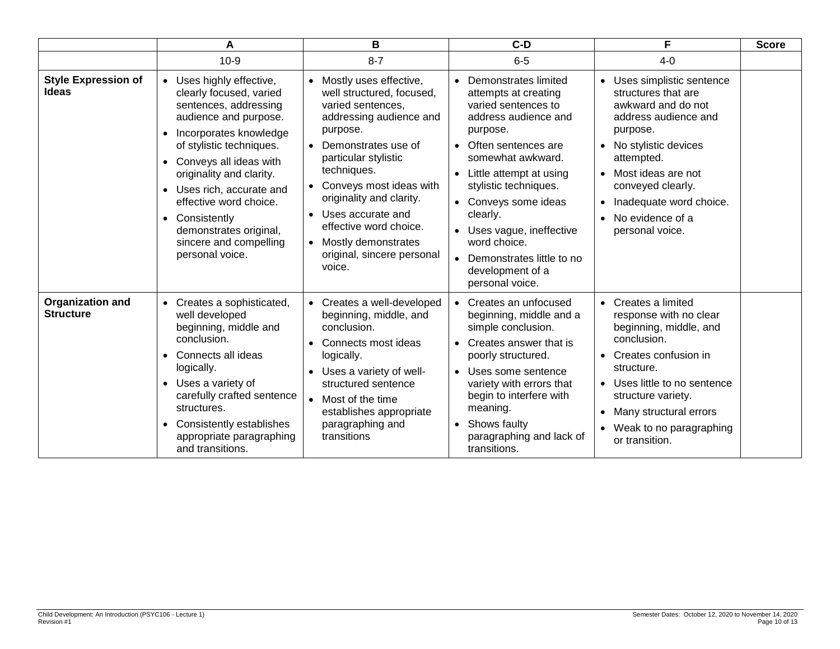|                                             | A                                                                                                                                                                                                                                                                                                                                                                                | B                                                                                                                                                                                                                                                                                                                                                                                             | $C-D$                                                                                                                                                                                                                                                                                                                                                              | F                                                                                                                                                                                                                                                                                            | <b>Score</b> |
|---------------------------------------------|----------------------------------------------------------------------------------------------------------------------------------------------------------------------------------------------------------------------------------------------------------------------------------------------------------------------------------------------------------------------------------|-----------------------------------------------------------------------------------------------------------------------------------------------------------------------------------------------------------------------------------------------------------------------------------------------------------------------------------------------------------------------------------------------|--------------------------------------------------------------------------------------------------------------------------------------------------------------------------------------------------------------------------------------------------------------------------------------------------------------------------------------------------------------------|----------------------------------------------------------------------------------------------------------------------------------------------------------------------------------------------------------------------------------------------------------------------------------------------|--------------|
|                                             | $10-9$                                                                                                                                                                                                                                                                                                                                                                           | $8 - 7$                                                                                                                                                                                                                                                                                                                                                                                       | $6-5$                                                                                                                                                                                                                                                                                                                                                              | $4 - 0$                                                                                                                                                                                                                                                                                      |              |
| <b>Style Expression of</b><br><b>Ideas</b>  | • Uses highly effective,<br>clearly focused, varied<br>sentences, addressing<br>audience and purpose.<br>Incorporates knowledge<br>$\bullet$<br>of stylistic techniques.<br>• Conveys all ideas with<br>originality and clarity.<br>• Uses rich, accurate and<br>effective word choice.<br>• Consistently<br>demonstrates original,<br>sincere and compelling<br>personal voice. | • Mostly uses effective,<br>well structured, focused,<br>varied sentences,<br>addressing audience and<br>purpose.<br>Demonstrates use of<br>$\bullet$<br>particular stylistic<br>techniques.<br>Conveys most ideas with<br>$\bullet$<br>originality and clarity.<br>Uses accurate and<br>$\bullet$<br>effective word choice.<br>• Mostly demonstrates<br>original, sincere personal<br>voice. | Demonstrates limited<br>attempts at creating<br>varied sentences to<br>address audience and<br>purpose.<br>• Often sentences are<br>somewhat awkward.<br>• Little attempt at using<br>stylistic techniques.<br>• Conveys some ideas<br>clearly.<br>• Uses vague, ineffective<br>word choice.<br>• Demonstrates little to no<br>development of a<br>personal voice. | Uses simplistic sentence<br>structures that are<br>awkward and do not<br>address audience and<br>purpose.<br>• No stylistic devices<br>attempted.<br>Most ideas are not<br>$\bullet$<br>conveyed clearly.<br>Inadequate word choice.<br>No evidence of a<br>personal voice.                  |              |
| <b>Organization and</b><br><b>Structure</b> | • Creates a sophisticated,<br>well developed<br>beginning, middle and<br>conclusion.<br>Connects all ideas<br>$\bullet$<br>logically.<br>• Uses a variety of<br>carefully crafted sentence<br>structures.<br>Consistently establishes<br>$\bullet$<br>appropriate paragraphing<br>and transitions.                                                                               | • Creates a well-developed<br>beginning, middle, and<br>conclusion.<br>Connects most ideas<br>$\bullet$<br>logically.<br>• Uses a variety of well-<br>structured sentence<br>• Most of the time<br>establishes appropriate<br>paragraphing and<br>transitions                                                                                                                                 | • Creates an unfocused<br>beginning, middle and a<br>simple conclusion.<br>• Creates answer that is<br>poorly structured.<br>• Uses some sentence<br>variety with errors that<br>begin to interfere with<br>meaning.<br>• Shows faulty<br>paragraphing and lack of<br>transitions.                                                                                 | Creates a limited<br>response with no clear<br>beginning, middle, and<br>conclusion.<br>Creates confusion in<br>$\bullet$<br>structure.<br>Uses little to no sentence<br>$\bullet$<br>structure variety.<br>Many structural errors<br>Weak to no paragraphing<br>$\bullet$<br>or transition. |              |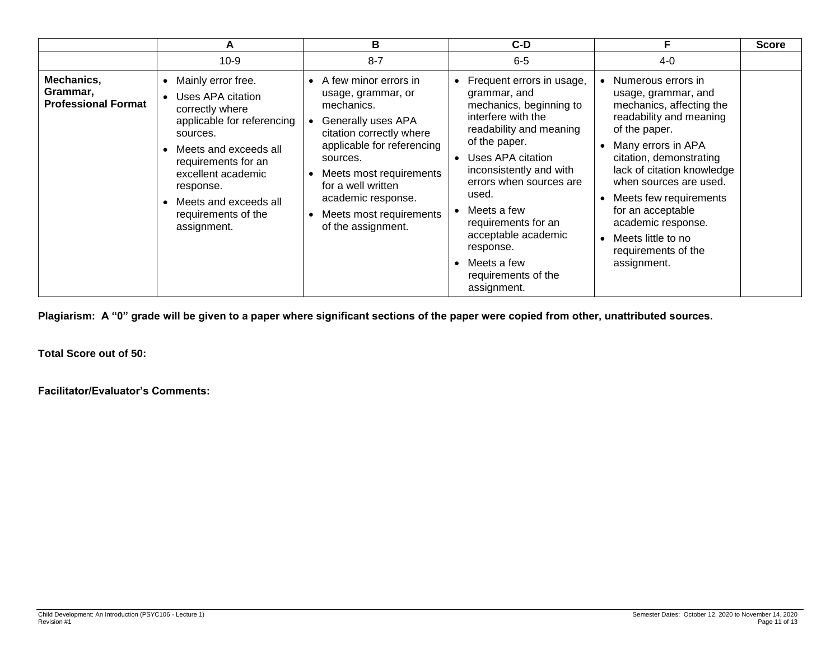|                                                      | A                                                                                                                                                                                                                                                                                     | В                                                                                                                                                                                                                                                                                                         | $C-D$                                                                                                                                                                                                                                                                                                                                                     | F                                                                                                                                                                                                                                                                                                                                                           | <b>Score</b> |
|------------------------------------------------------|---------------------------------------------------------------------------------------------------------------------------------------------------------------------------------------------------------------------------------------------------------------------------------------|-----------------------------------------------------------------------------------------------------------------------------------------------------------------------------------------------------------------------------------------------------------------------------------------------------------|-----------------------------------------------------------------------------------------------------------------------------------------------------------------------------------------------------------------------------------------------------------------------------------------------------------------------------------------------------------|-------------------------------------------------------------------------------------------------------------------------------------------------------------------------------------------------------------------------------------------------------------------------------------------------------------------------------------------------------------|--------------|
|                                                      | $10-9$                                                                                                                                                                                                                                                                                | $8 - 7$                                                                                                                                                                                                                                                                                                   | $6-5$                                                                                                                                                                                                                                                                                                                                                     | 4-0                                                                                                                                                                                                                                                                                                                                                         |              |
| Mechanics,<br>Grammar,<br><b>Professional Format</b> | Mainly error free.<br>٠<br>Uses APA citation<br>$\bullet$<br>correctly where<br>applicable for referencing<br>sources.<br>Meets and exceeds all<br>$\bullet$<br>requirements for an<br>excellent academic<br>response.<br>Meets and exceeds all<br>requirements of the<br>assignment. | • A few minor errors in<br>usage, grammar, or<br>mechanics.<br>Generally uses APA<br>citation correctly where<br>applicable for referencing<br>sources.<br>Meets most requirements<br>$\bullet$<br>for a well written<br>academic response.<br>Meets most requirements<br>$\bullet$<br>of the assignment. | Frequent errors in usage,<br>grammar, and<br>mechanics, beginning to<br>interfere with the<br>readability and meaning<br>of the paper.<br>Uses APA citation<br>inconsistently and with<br>errors when sources are<br>used.<br>Meets a few<br>requirements for an<br>acceptable academic<br>response.<br>Meets a few<br>requirements of the<br>assignment. | Numerous errors in<br>usage, grammar, and<br>mechanics, affecting the<br>readability and meaning<br>of the paper.<br>Many errors in APA<br>citation, demonstrating<br>lack of citation knowledge<br>when sources are used.<br>Meets few requirements<br>for an acceptable<br>academic response.<br>Meets little to no<br>requirements of the<br>assignment. |              |

**Plagiarism: A "0" grade will be given to a paper where significant sections of the paper were copied from other, unattributed sources.**

**Total Score out of 50:**

**Facilitator/Evaluator's Comments:**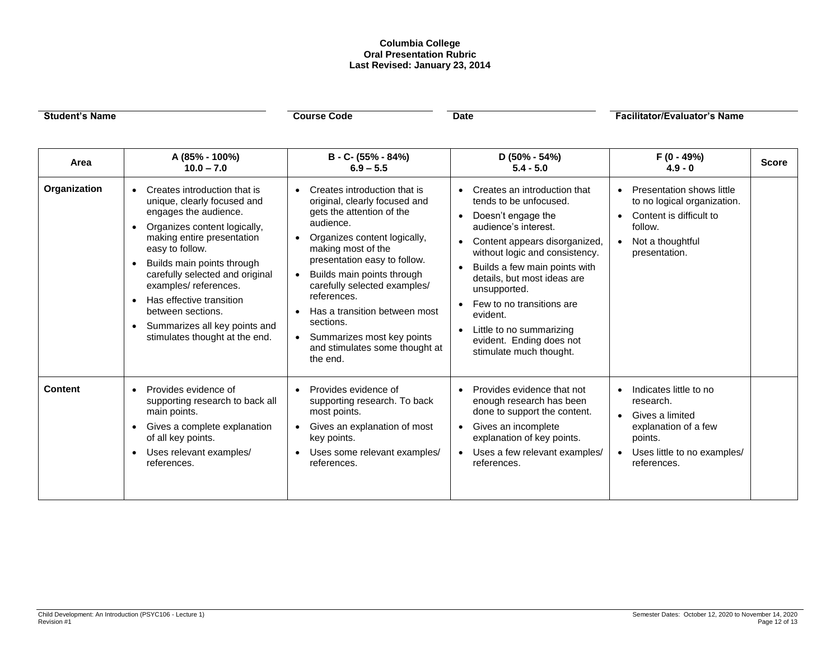#### **Columbia College Oral Presentation Rubric Last Revised: January 23, 2014**

| <b>Student's Name</b> |                                                                                                                                                                                                                                                                                                                                                                                                                                                     | <b>Course Code</b>                                                                                                                                                                                                                                                                                                                                                                                                                                                    | <b>Date</b>                                                                                                                                                                                                                                                                                                                                                                                                                                          | <b>Facilitator/Evaluator's Name</b>                                                                                                                               |              |
|-----------------------|-----------------------------------------------------------------------------------------------------------------------------------------------------------------------------------------------------------------------------------------------------------------------------------------------------------------------------------------------------------------------------------------------------------------------------------------------------|-----------------------------------------------------------------------------------------------------------------------------------------------------------------------------------------------------------------------------------------------------------------------------------------------------------------------------------------------------------------------------------------------------------------------------------------------------------------------|------------------------------------------------------------------------------------------------------------------------------------------------------------------------------------------------------------------------------------------------------------------------------------------------------------------------------------------------------------------------------------------------------------------------------------------------------|-------------------------------------------------------------------------------------------------------------------------------------------------------------------|--------------|
| Area                  | A (85% - 100%)<br>$10.0 - 7.0$                                                                                                                                                                                                                                                                                                                                                                                                                      | B - C- (55% - 84%)<br>$6.9 - 5.5$                                                                                                                                                                                                                                                                                                                                                                                                                                     | $D(50\% - 54\%)$<br>$5.4 - 5.0$                                                                                                                                                                                                                                                                                                                                                                                                                      | F (0 - 49%)<br>$4.9 - 0$                                                                                                                                          | <b>Score</b> |
| Organization          | Creates introduction that is<br>$\bullet$<br>unique, clearly focused and<br>engages the audience.<br>Organizes content logically,<br>$\bullet$<br>making entire presentation<br>easy to follow.<br>Builds main points through<br>$\bullet$<br>carefully selected and original<br>examples/references.<br>Has effective transition<br>$\bullet$<br>between sections.<br>Summarizes all key points and<br>$\bullet$<br>stimulates thought at the end. | Creates introduction that is<br>$\bullet$<br>original, clearly focused and<br>gets the attention of the<br>audience.<br>Organizes content logically,<br>$\bullet$<br>making most of the<br>presentation easy to follow.<br>Builds main points through<br>$\bullet$<br>carefully selected examples/<br>references.<br>Has a transition between most<br>$\bullet$<br>sections.<br>Summarizes most key points<br>$\bullet$<br>and stimulates some thought at<br>the end. | Creates an introduction that<br>$\bullet$<br>tends to be unfocused.<br>Doesn't engage the<br>$\bullet$<br>audience's interest.<br>Content appears disorganized,<br>without logic and consistency.<br>Builds a few main points with<br>$\bullet$<br>details, but most ideas are<br>unsupported.<br>Few to no transitions are<br>$\bullet$<br>evident.<br>Little to no summarizing<br>$\bullet$<br>evident. Ending does not<br>stimulate much thought. | Presentation shows little<br>to no logical organization.<br>Content is difficult to<br>follow.<br>Not a thoughtful<br>$\bullet$<br>presentation.                  |              |
| <b>Content</b>        | Provides evidence of<br>$\bullet$<br>supporting research to back all<br>main points.<br>Gives a complete explanation<br>$\bullet$<br>of all key points.<br>Uses relevant examples/<br>$\bullet$<br>references.                                                                                                                                                                                                                                      | Provides evidence of<br>$\bullet$<br>supporting research. To back<br>most points.<br>Gives an explanation of most<br>key points.<br>Uses some relevant examples/<br>references.                                                                                                                                                                                                                                                                                       | Provides evidence that not<br>$\bullet$<br>enough research has been<br>done to support the content.<br>Gives an incomplete<br>explanation of key points.<br>Uses a few relevant examples/<br>$\bullet$<br>references.                                                                                                                                                                                                                                | Indicates little to no<br>$\bullet$<br>research.<br>Gives a limited<br>$\bullet$<br>explanation of a few<br>points.<br>Uses little to no examples/<br>references. |              |